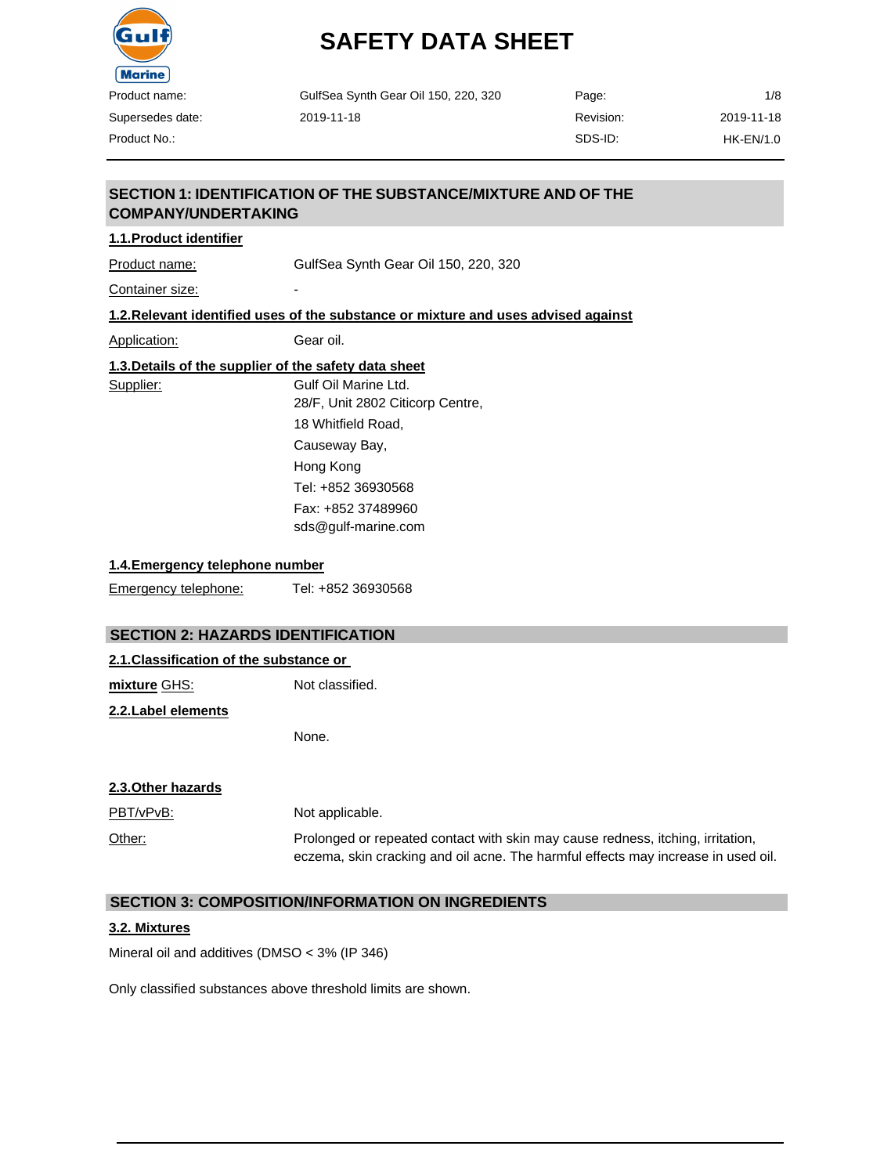

| GulfSea Synth Gear Oil 150, 220, 320 | Page:     | 1/8        |
|--------------------------------------|-----------|------------|
| 2019-11-18                           | Revision: | 2019-11-18 |
|                                      | SDS-ID:   | HK-EN/1.0  |

Supersedes date: Product No.:

#### **SECTION 1: IDENTIFICATION OF THE SUBSTANCE/MIXTURE AND OF THE COMPANY/UNDERTAKING**

#### **1.1.Product identifier**

Product name: GulfSea Synth Gear Oil 150, 220, 320

Container size:

#### **1.2.Relevant identified uses of the substance or mixture and uses advised against**

Application: Gear oil.

| Supplier: | Gulf Oil Marine Ltd.             |
|-----------|----------------------------------|
|           | 28/F, Unit 2802 Citicorp Centre, |
|           | 18 Whitfield Road,               |
|           | Causeway Bay,                    |
|           | Hong Kong                        |
|           | Tel: +852 36930568               |
|           | Fax: +852 37489960               |
|           | sds@qulf-marine.com              |

#### **1.4.Emergency telephone number**

Emergency telephone: Tel: +852 36930568

#### **SECTION 2: HAZARDS IDENTIFICATION**

#### **2.1.Classification of the substance or**

**mixture** GHS: Not classified.

**2.2.Label elements**

None.

#### **2.3.Other hazards**

| <u>PBT/vPvB:</u> | Not applicable.                                                                                                                                                      |
|------------------|----------------------------------------------------------------------------------------------------------------------------------------------------------------------|
| Other:           | Prolonged or repeated contact with skin may cause redness, itching, irritation,<br>eczema, skin cracking and oil acne. The harmful effects may increase in used oil. |

#### **SECTION 3: COMPOSITION/INFORMATION ON INGREDIENTS**

#### **3.2. Mixtures**

Mineral oil and additives (DMSO < 3% (IP 346)

Only classified substances above threshold limits are shown.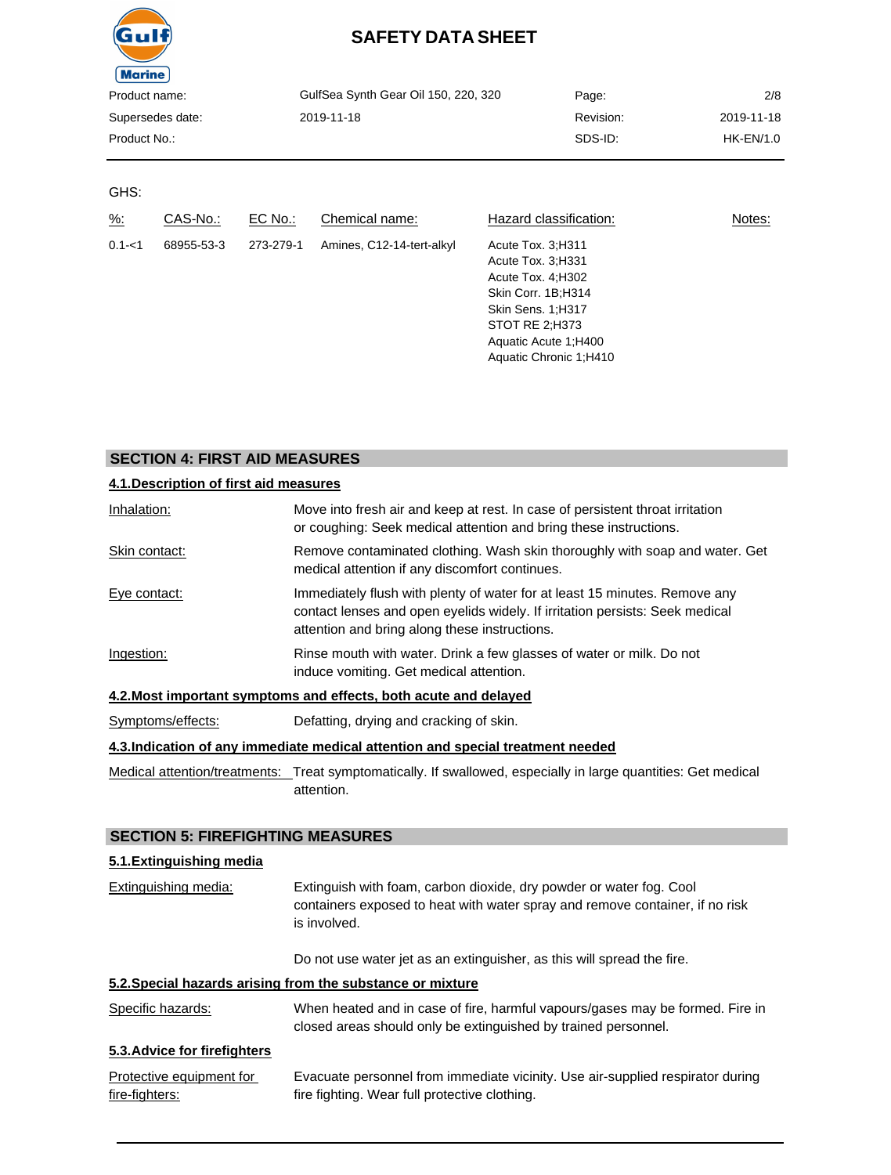| âu I 1        |
|---------------|
| <b>Marine</b> |
| Product name: |
| Supersedes da |
| Product No.:  |

| Product name:    | GulfSea Synth Gear Oil 150, 220, 320 | Page:     | 2/8         |
|------------------|--------------------------------------|-----------|-------------|
| Supersedes date: | 2019-11-18                           | Revision: | 2019-11-18  |
| Product No.:     |                                      | SDS-ID:   | $HK-EN/1.0$ |
|                  |                                      |           |             |

#### GHS:

| $\frac{9}{6}$ : | CAS-No.:   | $EC$ No.: | Chemical name:            | Hazard classification:                                                                                                                                                        | Notes: |
|-----------------|------------|-----------|---------------------------|-------------------------------------------------------------------------------------------------------------------------------------------------------------------------------|--------|
| $0.1 - 1$       | 68955-53-3 | 273-279-1 | Amines, C12-14-tert-alkyl | Acute Tox. 3:H311<br>Acute Tox. 3: H331<br>Acute Tox. 4; H302<br>Skin Corr. 1B;H314<br>Skin Sens. 1;H317<br>STOT RE 2;H373<br>Aquatic Acute 1; H400<br>Aquatic Chronic 1:H410 |        |

#### **SECTION 4: FIRST AID MEASURES**

| 4.1. Description of first aid measures |                                                                                                                                                                                                             |
|----------------------------------------|-------------------------------------------------------------------------------------------------------------------------------------------------------------------------------------------------------------|
| Inhalation:                            | Move into fresh air and keep at rest. In case of persistent throat irritation<br>or coughing: Seek medical attention and bring these instructions.                                                          |
| Skin contact:                          | Remove contaminated clothing. Wash skin thoroughly with soap and water. Get<br>medical attention if any discomfort continues.                                                                               |
| Eye contact:                           | Immediately flush with plenty of water for at least 15 minutes. Remove any<br>contact lenses and open eyelids widely. If irritation persists: Seek medical<br>attention and bring along these instructions. |
| Ingestion:                             | Rinse mouth with water. Drink a few glasses of water or milk. Do not<br>induce vomiting. Get medical attention.                                                                                             |
|                                        | 4.2. Most important symptoms and effects, both acute and delayed                                                                                                                                            |
| Symptoms/effects:                      | Defatting, drying and cracking of skin.                                                                                                                                                                     |
|                                        | 4.3. Indication of any immediate medical attention and special treatment needed                                                                                                                             |
|                                        | Medical attention/treatments: Treat symptomatically. If swallowed, especially in large quantities: Get medical<br>attention.                                                                                |

#### **SECTION 5: FIREFIGHTING MEASURES**

#### **5.1.Extinguishing media**

| Extinguishing media: | Extinguish with foam, carbon dioxide, dry powder or water fog. Cool<br>containers exposed to heat with water spray and remove container, if no risk<br>is involved. |
|----------------------|---------------------------------------------------------------------------------------------------------------------------------------------------------------------|
|                      | Do not use water jet as an extinguisher, as this will spread the fire.                                                                                              |

#### **5.2.Special hazards arising from the substance or mixture**

| Specific hazards: | When heated and in case of fire, harmful vapours/gases may be formed. Fire in |
|-------------------|-------------------------------------------------------------------------------|
|                   | closed areas should only be extinguished by trained personnel.                |

#### **5.3.Advice for firefighters**

| Protective equipment for | Evacuate personnel from immediate vicinity. Use air-supplied respirator during |
|--------------------------|--------------------------------------------------------------------------------|
| fire-fighters:           | fire fighting. Wear full protective clothing.                                  |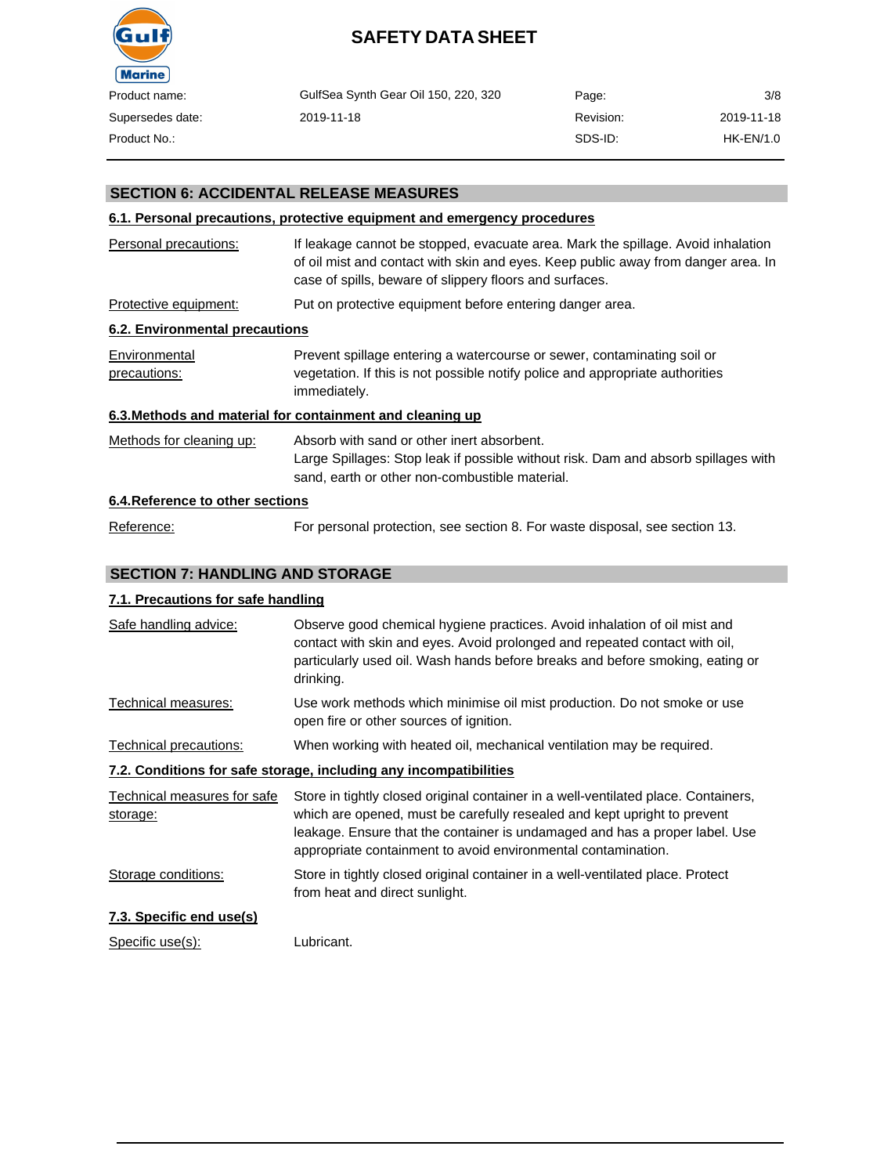

| duct name:    | GulfSea Synth Gear Oil 150, 220, 320 | Page:     | 3/8        |
|---------------|--------------------------------------|-----------|------------|
| ersedes date: | 2019-11-18                           | Revision: | 2019-11-18 |
| duct No.:     |                                      | SDS-ID:   | HK-EN/1.0  |

#### **SECTION 6: ACCIDENTAL RELEASE MEASURES**

#### **6.1. Personal precautions, protective equipment and emergency procedures**

| Personal precautions:            | If leakage cannot be stopped, evacuate area. Mark the spillage. Avoid inhalation<br>of oil mist and contact with skin and eyes. Keep public away from danger area. In<br>case of spills, beware of slippery floors and surfaces. |
|----------------------------------|----------------------------------------------------------------------------------------------------------------------------------------------------------------------------------------------------------------------------------|
| Protective equipment:            | Put on protective equipment before entering danger area.                                                                                                                                                                         |
| 6.2. Environmental precautions   |                                                                                                                                                                                                                                  |
| Environmental<br>precautions:    | Prevent spillage entering a watercourse or sewer, contaminating soil or<br>vegetation. If this is not possible notify police and appropriate authorities<br>immediately.                                                         |
|                                  | 6.3. Methods and material for containment and cleaning up                                                                                                                                                                        |
| Methods for cleaning up:         | Absorb with sand or other inert absorbent.<br>Large Spillages: Stop leak if possible without risk. Dam and absorb spillages with<br>sand, earth or other non-combustible material.                                               |
| 6.4. Reference to other sections |                                                                                                                                                                                                                                  |
| Reference:                       | For personal protection, see section 8. For waste disposal, see section 13.                                                                                                                                                      |

#### **SECTION 7: HANDLING AND STORAGE**

#### **7.1. Precautions for safe handling**

| Safe handling advice:                                             | Observe good chemical hygiene practices. Avoid inhalation of oil mist and<br>contact with skin and eyes. Avoid prolonged and repeated contact with oil,<br>particularly used oil. Wash hands before breaks and before smoking, eating or<br>drinking.                                                          |  |  |
|-------------------------------------------------------------------|----------------------------------------------------------------------------------------------------------------------------------------------------------------------------------------------------------------------------------------------------------------------------------------------------------------|--|--|
| Technical measures:                                               | Use work methods which minimise oil mist production. Do not smoke or use<br>open fire or other sources of ignition.                                                                                                                                                                                            |  |  |
| Technical precautions:                                            | When working with heated oil, mechanical ventilation may be required.                                                                                                                                                                                                                                          |  |  |
| 7.2. Conditions for safe storage, including any incompatibilities |                                                                                                                                                                                                                                                                                                                |  |  |
| Technical measures for safe<br>storage:                           | Store in tightly closed original container in a well-ventilated place. Containers,<br>which are opened, must be carefully resealed and kept upright to prevent<br>leakage. Ensure that the container is undamaged and has a proper label. Use<br>appropriate containment to avoid environmental contamination. |  |  |
| Storage conditions:                                               | Store in tightly closed original container in a well-ventilated place. Protect<br>from heat and direct sunlight.                                                                                                                                                                                               |  |  |
| 7.3. Specific end use(s)                                          |                                                                                                                                                                                                                                                                                                                |  |  |
|                                                                   |                                                                                                                                                                                                                                                                                                                |  |  |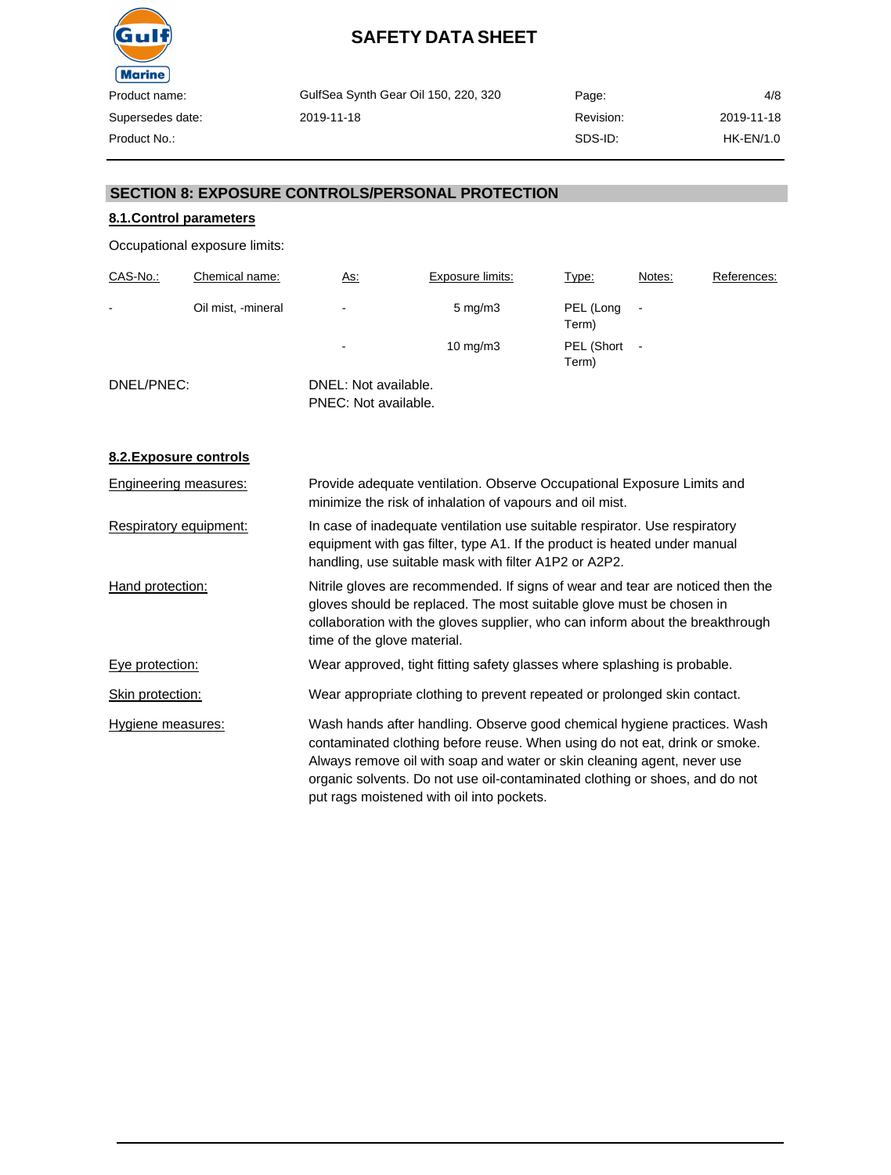

GulfSea Synth Gear Oil 150, 220, 320 2019-11-18 Page: Revision: SDS-ID:

4/8 2019-11-18 HK-EN/1.0

#### **SECTION 8: EXPOSURE CONTROLS/PERSONAL PROTECTION**

#### **8.1.Control parameters**

Occupational exposure limits:

| CAS-No.:   | Chemical name:     | As:                                          | Exposure limits:   | Type:               | Notes: | References: |
|------------|--------------------|----------------------------------------------|--------------------|---------------------|--------|-------------|
| -          | Oil mist, -mineral | $\overline{\phantom{a}}$                     | $5 \text{ mg/m}$ 3 | PEL (Long<br>Term)  |        |             |
|            |                    | -                                            | $10 \text{ mg/m}$  | PEL (Short<br>Term) |        |             |
| DNEL/PNEC: |                    | DNEL: Not available.<br>PNEC: Not available. |                    |                     |        |             |

#### **8.2.Exposure controls**

| Engineering measures:  | Provide adequate ventilation. Observe Occupational Exposure Limits and<br>minimize the risk of inhalation of vapours and oil mist.                                                                                                                                                                                                                            |
|------------------------|---------------------------------------------------------------------------------------------------------------------------------------------------------------------------------------------------------------------------------------------------------------------------------------------------------------------------------------------------------------|
| Respiratory equipment: | In case of inadequate ventilation use suitable respirator. Use respiratory<br>equipment with gas filter, type A1. If the product is heated under manual<br>handling, use suitable mask with filter A1P2 or A2P2.                                                                                                                                              |
| Hand protection:       | Nitrile gloves are recommended. If signs of wear and tear are noticed then the<br>gloves should be replaced. The most suitable glove must be chosen in<br>collaboration with the gloves supplier, who can inform about the breakthrough<br>time of the glove material.                                                                                        |
| Eye protection:        | Wear approved, tight fitting safety glasses where splashing is probable.                                                                                                                                                                                                                                                                                      |
| Skin protection:       | Wear appropriate clothing to prevent repeated or prolonged skin contact.                                                                                                                                                                                                                                                                                      |
| Hygiene measures:      | Wash hands after handling. Observe good chemical hygiene practices. Wash<br>contaminated clothing before reuse. When using do not eat, drink or smoke.<br>Always remove oil with soap and water or skin cleaning agent, never use<br>organic solvents. Do not use oil-contaminated clothing or shoes, and do not<br>put rags moistened with oil into pockets. |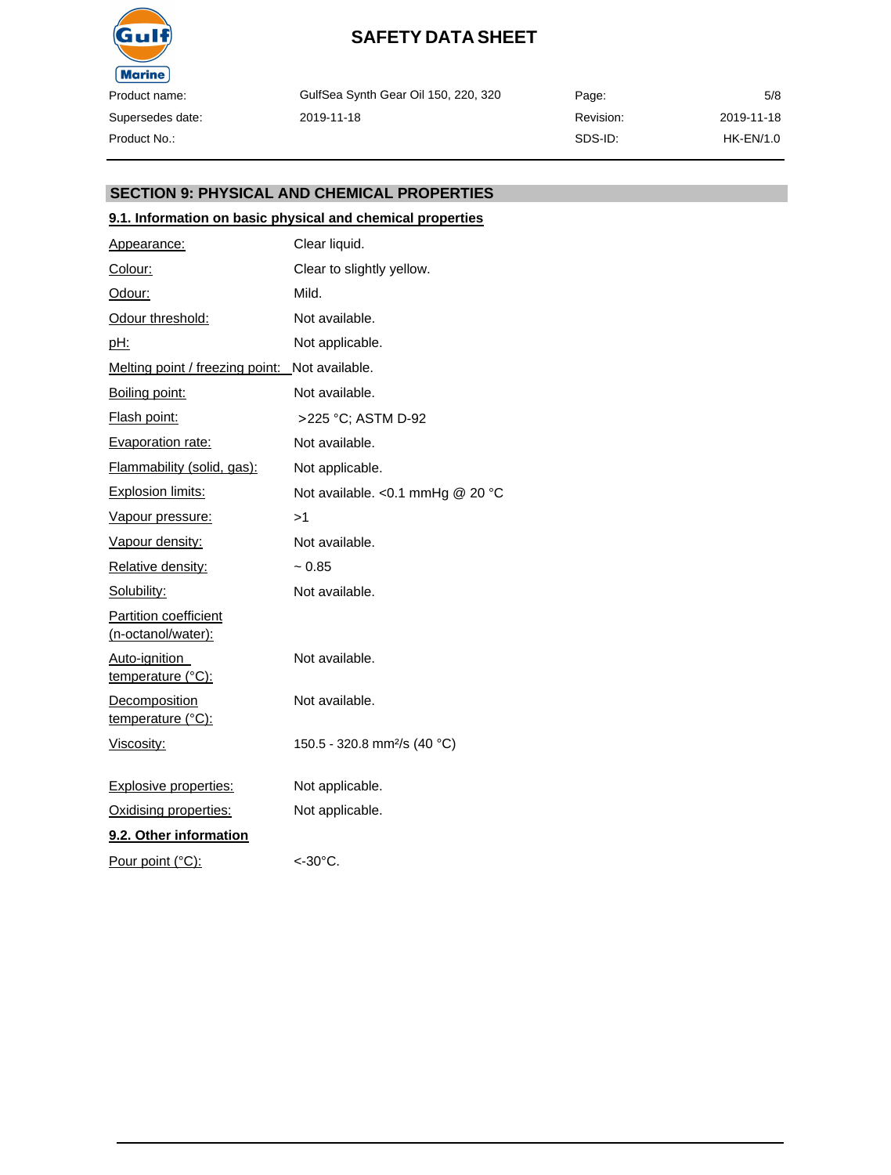

GulfSea Synth Gear Oil 150, 220, 320 2019-11-18

Page: Revision: SDS-ID: 5/8 2019-11-18 HK-EN/1.0

#### **SECTION 9: PHYSICAL AND CHEMICAL PROPERTIES**

#### **9.1. Information on basic physical and chemical properties**

| Appearance:                                        | Clear liquid.                            |
|----------------------------------------------------|------------------------------------------|
| Colour:                                            | Clear to slightly yellow.                |
| <u>Odour:</u>                                      | Mild.                                    |
| Odour threshold:                                   | Not available.                           |
| pH:                                                | Not applicable.                          |
| Melting point / freezing point: Not available.     |                                          |
| Boiling point:                                     | Not available.                           |
| <b>Flash point:</b>                                | >225 °C; ASTM D-92                       |
| <b>Evaporation rate:</b>                           | Not available.                           |
| Flammability (solid, gas):                         | Not applicable.                          |
| <b>Explosion limits:</b>                           | Not available. < 0.1 mmHg @ 20 °C        |
| Vapour pressure:                                   | >1                                       |
| Vapour density:                                    | Not available.                           |
| Relative density:                                  | $~1$ 0.85                                |
| Solubility:                                        | Not available.                           |
| <b>Partition coefficient</b><br>(n-octanol/water): |                                          |
| Auto-ignition<br>temperature (°C):                 | Not available.                           |
| <b>Decomposition</b><br>temperature (°C):          | Not available.                           |
| <u>Viscosity:</u>                                  | 150.5 - 320.8 mm <sup>2</sup> /s (40 °C) |
| <b>Explosive properties:</b>                       | Not applicable.                          |
| Oxidising properties:                              | Not applicable.                          |
| 9.2. Other information                             |                                          |
| Pour point (°C):                                   | $<$ -30 $^{\circ}$ C.                    |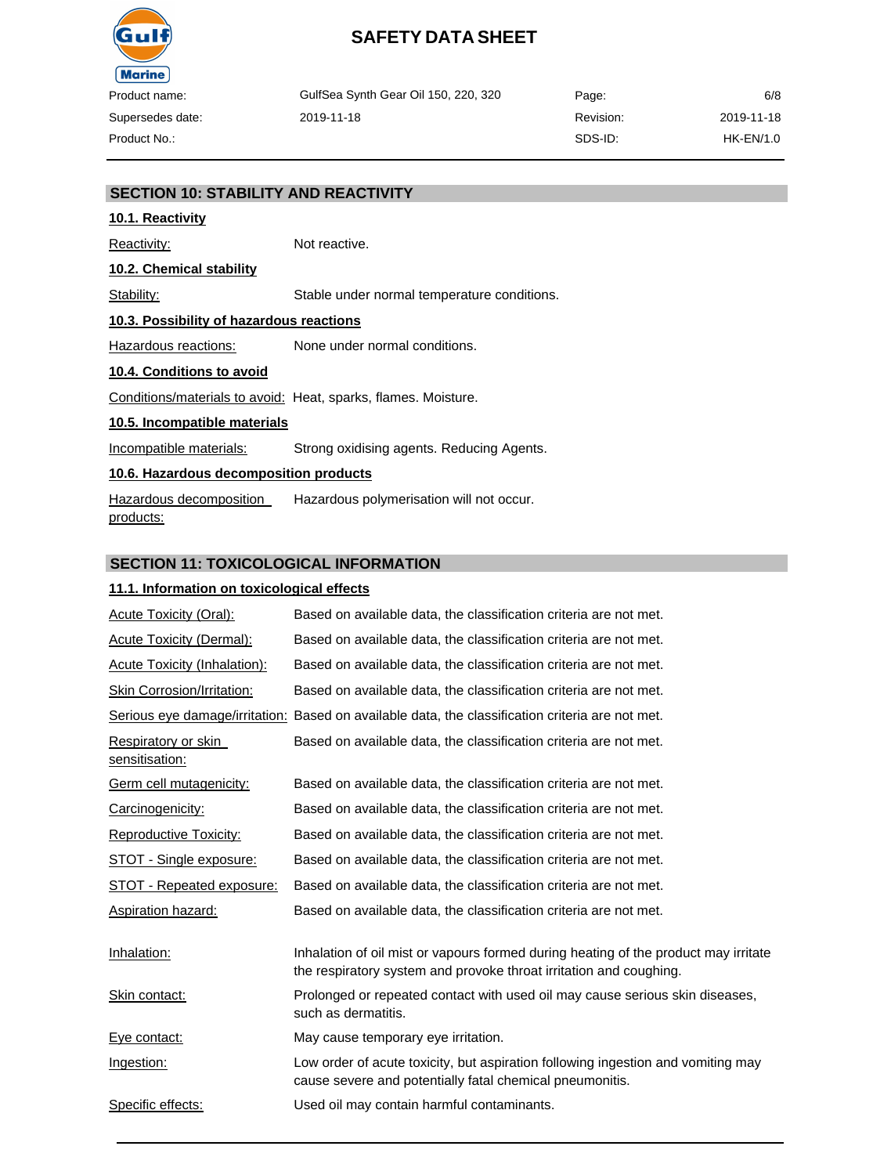

GulfSea Synth Gear Oil 150, 220, 320 2019-11-18

Page: Revision: SDS-ID: 6/8 2019-11-18 HK-EN/1.0

#### **SECTION 10: STABILITY AND REACTIVITY**

### **10.1. Reactivity**

Reactivity: Not reactive. **10.2. Chemical stability** Stability: Stable under normal temperature conditions. **10.3. Possibility of hazardous reactions** Hazardous reactions: None under normal conditions. **10.4. Conditions to avoid** Conditions/materials to avoid: Heat, sparks, flames. Moisture. **10.5. Incompatible materials** Incompatible materials: Strong oxidising agents. Reducing Agents.

#### **10.6. Hazardous decomposition products**

Hazardous decomposition products: Hazardous polymerisation will not occur.

#### **SECTION 11: TOXICOLOGICAL INFORMATION**

#### **11.1. Information on toxicological effects**

| <b>Acute Toxicity (Oral):</b>         | Based on available data, the classification criteria are not met.                                                                                         |
|---------------------------------------|-----------------------------------------------------------------------------------------------------------------------------------------------------------|
| <b>Acute Toxicity (Dermal):</b>       | Based on available data, the classification criteria are not met.                                                                                         |
| Acute Toxicity (Inhalation):          | Based on available data, the classification criteria are not met.                                                                                         |
| <b>Skin Corrosion/Irritation:</b>     | Based on available data, the classification criteria are not met.                                                                                         |
|                                       | Serious eye damage/irritation: Based on available data, the classification criteria are not met.                                                          |
| Respiratory or skin<br>sensitisation: | Based on available data, the classification criteria are not met.                                                                                         |
| Germ cell mutagenicity:               | Based on available data, the classification criteria are not met.                                                                                         |
| Carcinogenicity:                      | Based on available data, the classification criteria are not met.                                                                                         |
| <b>Reproductive Toxicity:</b>         | Based on available data, the classification criteria are not met.                                                                                         |
| STOT - Single exposure:               | Based on available data, the classification criteria are not met.                                                                                         |
| STOT - Repeated exposure:             | Based on available data, the classification criteria are not met.                                                                                         |
| Aspiration hazard:                    | Based on available data, the classification criteria are not met.                                                                                         |
| Inhalation:                           | Inhalation of oil mist or vapours formed during heating of the product may irritate<br>the respiratory system and provoke throat irritation and coughing. |
| Skin contact:                         | Prolonged or repeated contact with used oil may cause serious skin diseases,<br>such as dermatitis.                                                       |
| Eye contact:                          | May cause temporary eye irritation.                                                                                                                       |
| Ingestion:                            | Low order of acute toxicity, but aspiration following ingestion and vomiting may<br>cause severe and potentially fatal chemical pneumonitis.              |
| Specific effects:                     | Used oil may contain harmful contaminants.                                                                                                                |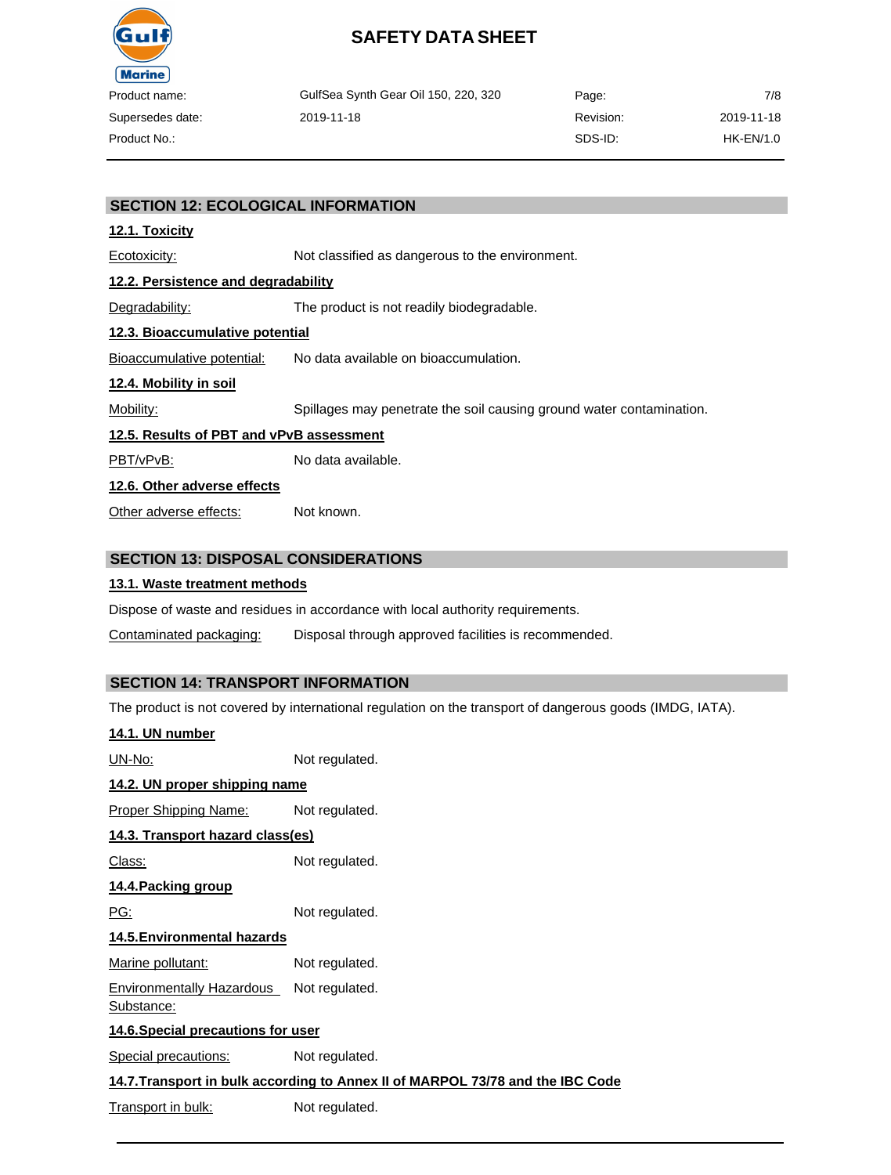

| ct name:    | GulfSea Synth Gear Oil 150, 220, 320 | Page:     | 7/8        |
|-------------|--------------------------------------|-----------|------------|
| sedes date: | 2019-11-18                           | Revision: | 2019-11-18 |
| ct No.:     |                                      | SDS-ID:   | HK-EN/1.0  |

#### **SECTION 12: ECOLOGICAL INFORMATION**

#### **12.1. Toxicity**

Ecotoxicity: Not classified as dangerous to the environment.

#### **12.2. Persistence and degradability**

Degradability: The product is not readily biodegradable.

#### **12.3. Bioaccumulative potential**

Bioaccumulative potential: No data available on bioaccumulation.

#### **12.4. Mobility in soil**

Mobility: Spillages may penetrate the soil causing ground water contamination.

#### **12.5. Results of PBT and vPvB assessment**

PBT/vPvB: No data available.

#### **12.6. Other adverse effects**

Other adverse effects: Not known.

#### **SECTION 13: DISPOSAL CONSIDERATIONS**

#### **13.1. Waste treatment methods**

Dispose of waste and residues in accordance with local authority requirements.

Contaminated packaging: Disposal through approved facilities is recommended.

#### **SECTION 14: TRANSPORT INFORMATION**

The product is not covered by international regulation on the transport of dangerous goods (IMDG, IATA).

| 14.1. UN number                                |                                                                                |
|------------------------------------------------|--------------------------------------------------------------------------------|
| <u> UN-No:</u>                                 | Not regulated.                                                                 |
| 14.2. UN proper shipping name                  |                                                                                |
| <u> Proper Shipping Name:</u>                  | Not regulated.                                                                 |
| 14.3. Transport hazard class(es)               |                                                                                |
| <u> Class:</u>                                 | Not regulated.                                                                 |
| 14.4. Packing group                            |                                                                                |
| <u>PG:</u>                                     | Not regulated.                                                                 |
| 14.5. Environmental hazards                    |                                                                                |
| Marine pollutant:                              | Not regulated.                                                                 |
| <b>Environmentally Hazardous</b><br>Substance: | Not regulated.                                                                 |
| 14.6. Special precautions for user             |                                                                                |
| Special precautions:                           | Not regulated.                                                                 |
|                                                | 14.7. Transport in bulk according to Annex II of MARPOL 73/78 and the IBC Code |
| Transport in bulk:                             | Not regulated.                                                                 |